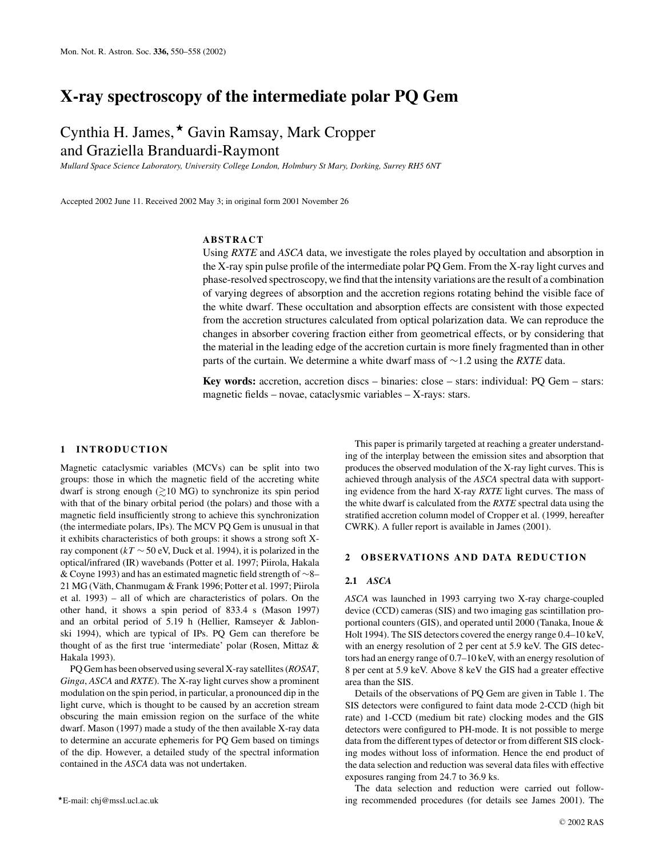## **X-ray spectroscopy of the intermediate polar PQ Gem**

# Cynthia H. James, \* Gavin Ramsay, Mark Cropper and Graziella Branduardi-Raymont

*Mullard Space Science Laboratory, University College London, Holmbury St Mary, Dorking, Surrey RH5 6NT*

Accepted 2002 June 11. Received 2002 May 3; in original form 2001 November 26

## **ABSTRACT**

Using *RXTE* and *ASCA* data, we investigate the roles played by occultation and absorption in the X-ray spin pulse profile of the intermediate polar PQ Gem. From the X-ray light curves and phase-resolved spectroscopy, we find that the intensity variations are the result of a combination of varying degrees of absorption and the accretion regions rotating behind the visible face of the white dwarf. These occultation and absorption effects are consistent with those expected from the accretion structures calculated from optical polarization data. We can reproduce the changes in absorber covering fraction either from geometrical effects, or by considering that the material in the leading edge of the accretion curtain is more finely fragmented than in other parts of the curtain. We determine a white dwarf mass of ∼1.2 using the *RXTE* data.

**Key words:** accretion, accretion discs – binaries: close – stars: individual: PQ Gem – stars: magnetic fields – novae, cataclysmic variables – X-rays: stars.

#### **1 INTRODUCTION**

Magnetic cataclysmic variables (MCVs) can be split into two groups: those in which the magnetic field of the accreting white dwarf is strong enough  $(\gtrsim 10 \text{ MG})$  to synchronize its spin period with that of the binary orbital period (the polars) and those with a magnetic field insufficiently strong to achieve this synchronization (the intermediate polars, IPs). The MCV PQ Gem is unusual in that it exhibits characteristics of both groups: it shows a strong soft Xray component (*kT* ∼ 50 eV, Duck et al. 1994), it is polarized in the optical/infrared (IR) wavebands (Potter et al. 1997; Piirola, Hakala & Coyne 1993) and has an estimated magnetic field strength of ∼8– 21 MG (Väth, Chanmugam & Frank 1996; Potter et al. 1997; Piirola et al. 1993) – all of which are characteristics of polars. On the other hand, it shows a spin period of 833.4 s (Mason 1997) and an orbital period of 5.19 h (Hellier, Ramseyer & Jablonski 1994), which are typical of IPs. PQ Gem can therefore be thought of as the first true 'intermediate' polar (Rosen, Mittaz & Hakala 1993).

PQ Gem has been observed using several X-ray satellites (*ROSAT*, *Ginga*, *ASCA* and *RXTE*). The X-ray light curves show a prominent modulation on the spin period, in particular, a pronounced dip in the light curve, which is thought to be caused by an accretion stream obscuring the main emission region on the surface of the white dwarf. Mason (1997) made a study of the then available X-ray data to determine an accurate ephemeris for PQ Gem based on timings of the dip. However, a detailed study of the spectral information contained in the *ASCA* data was not undertaken.

-E-mail: chj@mssl.ucl.ac.uk

This paper is primarily targeted at reaching a greater understanding of the interplay between the emission sites and absorption that produces the observed modulation of the X-ray light curves. This is achieved through analysis of the *ASCA* spectral data with supporting evidence from the hard X-ray *RXTE* light curves. The mass of the white dwarf is calculated from the *RXTE* spectral data using the stratified accretion column model of Cropper et al. (1999, hereafter CWRK). A fuller report is available in James (2001).

## 2 OBSERVATIONS AND DATA REDUCTION

#### **2.1** *ASCA*

*ASCA* was launched in 1993 carrying two X-ray charge-coupled device (CCD) cameras (SIS) and two imaging gas scintillation proportional counters (GIS), and operated until 2000 (Tanaka, Inoue & Holt 1994). The SIS detectors covered the energy range 0.4–10 keV, with an energy resolution of 2 per cent at 5.9 keV. The GIS detectors had an energy range of 0.7–10 keV, with an energy resolution of 8 per cent at 5.9 keV. Above 8 keV the GIS had a greater effective area than the SIS.

Details of the observations of PQ Gem are given in Table 1. The SIS detectors were configured to faint data mode 2-CCD (high bit rate) and 1-CCD (medium bit rate) clocking modes and the GIS detectors were configured to PH-mode. It is not possible to merge data from the different types of detector or from different SIS clocking modes without loss of information. Hence the end product of the data selection and reduction was several data files with effective exposures ranging from 24.7 to 36.9 ks.

The data selection and reduction were carried out following recommended procedures (for details see James 2001). The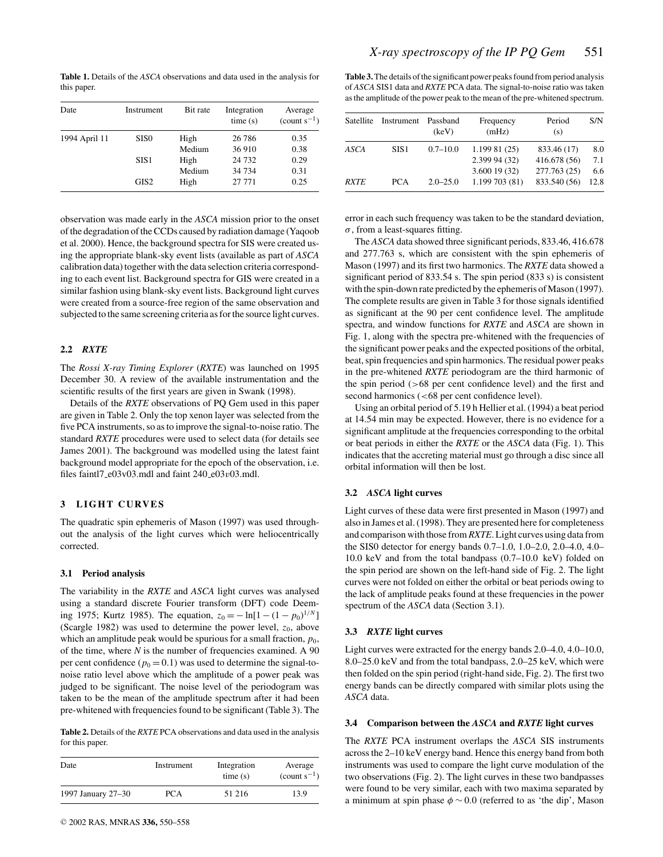**Table 1.** Details of the *ASCA* observations and data used in the analysis for this paper.

| Date          | Instrument       | Bit rate | Integration<br>time(s) | Average<br>$\text{(count } s^{-1}\text{)}$ |
|---------------|------------------|----------|------------------------|--------------------------------------------|
| 1994 April 11 | SIS <sub>0</sub> | High     | 26 78 6                | 0.35                                       |
|               |                  | Medium   | 36 910                 | 0.38                                       |
|               | SIS <sub>1</sub> | High     | 24 7 32                | 0.29                                       |
|               |                  | Medium   | 34 7 34                | 0.31                                       |
|               | GIS <sub>2</sub> | High     | 27 771                 | 0.25                                       |

observation was made early in the *ASCA* mission prior to the onset of the degradation of the CCDs caused by radiation damage (Yaqoob et al. 2000). Hence, the background spectra for SIS were created using the appropriate blank-sky event lists (available as part of *ASCA* calibration data) together with the data selection criteria corresponding to each event list. Background spectra for GIS were created in a similar fashion using blank-sky event lists. Background light curves were created from a source-free region of the same observation and subjected to the same screening criteria as for the source light curves.

## **2.2** *RXTE*

The *Rossi X-ray Timing Explorer* (*RXTE*) was launched on 1995 December 30. A review of the available instrumentation and the scientific results of the first years are given in Swank (1998).

Details of the *RXTE* observations of PQ Gem used in this paper are given in Table 2. Only the top xenon layer was selected from the five PCA instruments, so as to improve the signal-to-noise ratio. The standard *RXTE* procedures were used to select data (for details see James 2001). The background was modelled using the latest faint background model appropriate for the epoch of the observation, i.e. files faintl7\_e03v03.mdl and faint  $240$ \_e03v03.mdl.

## **3 LIGHT CURVES**

The quadratic spin ephemeris of Mason (1997) was used throughout the analysis of the light curves which were heliocentrically corrected.

#### **3.1 Period analysis**

The variability in the *RXTE* and *ASCA* light curves was analysed using a standard discrete Fourier transform (DFT) code Deeming 1975; Kurtz 1985). The equation,  $z_0 = -\ln[1 - (1 - p_0)^{1/N}]$ (Scargle 1982) was used to determine the power level,  $z_0$ , above which an amplitude peak would be spurious for a small fraction,  $p_0$ , of the time, where *N* is the number of frequencies examined. A 90 per cent confidence ( $p_0 = 0.1$ ) was used to determine the signal-tonoise ratio level above which the amplitude of a power peak was judged to be significant. The noise level of the periodogram was taken to be the mean of the amplitude spectrum after it had been pre-whitened with frequencies found to be significant (Table 3). The

**Table 2.** Details of the *RXTE* PCA observations and data used in the analysis for this paper.

| Date               | Instrument | Integration<br>time(s) | Average<br>$\text{(count } s^{-1}\text{)}$ |
|--------------------|------------|------------------------|--------------------------------------------|
| 1997 January 27–30 | PCA        | 51 216                 | 13.9                                       |

**Table 3.**The details of the significant power peaks found from period analysis of *ASCA* SIS1 data and *RXTE* PCA data. The signal-to-noise ratio was taken as the amplitude of the power peak to the mean of the pre-whitened spectrum.

| <b>Satellite</b> | Instrument       | Passband<br>(keV) | Frequency<br>(mHz) | Period<br>(s) | S/N  |
|------------------|------------------|-------------------|--------------------|---------------|------|
| ASCA             | SIS <sub>1</sub> | $0.7 - 10.0$      | 1.199 81 (25)      | 833.46 (17)   | 8.0  |
|                  |                  |                   | 2.399 94 (32)      | 416.678 (56)  | 7.1  |
|                  |                  |                   | 3.600 19 (32)      | 277.763 (25)  | 6.6  |
| <b>RXTE</b>      | <b>PCA</b>       | $2.0 - 25.0$      | 1.199 703 (81)     | 833.540 (56)  | 12.8 |

error in each such frequency was taken to be the standard deviation,  $\sigma$ , from a least-squares fitting.

The *ASCA* data showed three significant periods, 833.46, 416.678 and 277.763 s, which are consistent with the spin ephemeris of Mason (1997) and its first two harmonics. The *RXTE* data showed a significant period of 833.54 s. The spin period (833 s) is consistent with the spin-down rate predicted by the ephemeris of Mason (1997). The complete results are given in Table 3 for those signals identified as significant at the 90 per cent confidence level. The amplitude spectra, and window functions for *RXTE* and *ASCA* are shown in Fig. 1, along with the spectra pre-whitened with the frequencies of the significant power peaks and the expected positions of the orbital, beat, spin frequencies and spin harmonics. The residual power peaks in the pre-whitened *RXTE* periodogram are the third harmonic of the spin period (>68 per cent confidence level) and the first and second harmonics (<68 per cent confidence level).

Using an orbital period of 5.19 h Hellier et al. (1994) a beat period at 14.54 min may be expected. However, there is no evidence for a significant amplitude at the frequencies corresponding to the orbital or beat periods in either the *RXTE* or the *ASCA* data (Fig. 1). This indicates that the accreting material must go through a disc since all orbital information will then be lost.

## **3.2** *ASCA* **light curves**

Light curves of these data were first presented in Mason (1997) and also in James et al. (1998). They are presented here for completeness and comparison with those from*RXTE*. Light curves using data from the SIS0 detector for energy bands 0.7–1.0, 1.0–2.0, 2.0–4.0, 4.0– 10.0 keV and from the total bandpass (0.7–10.0 keV) folded on the spin period are shown on the left-hand side of Fig. 2. The light curves were not folded on either the orbital or beat periods owing to the lack of amplitude peaks found at these frequencies in the power spectrum of the *ASCA* data (Section 3.1).

#### **3.3** *RXTE* **light curves**

Light curves were extracted for the energy bands 2.0–4.0, 4.0–10.0, 8.0–25.0 keV and from the total bandpass, 2.0–25 keV, which were then folded on the spin period (right-hand side, Fig. 2). The first two energy bands can be directly compared with similar plots using the *ASCA* data.

#### **3.4 Comparison between the** *ASCA* **and** *RXTE* **light curves**

The *RXTE* PCA instrument overlaps the *ASCA* SIS instruments across the 2–10 keV energy band. Hence this energy band from both instruments was used to compare the light curve modulation of the two observations (Fig. 2). The light curves in these two bandpasses were found to be very similar, each with two maxima separated by a minimum at spin phase  $\phi \sim 0.0$  (referred to as 'the dip', Mason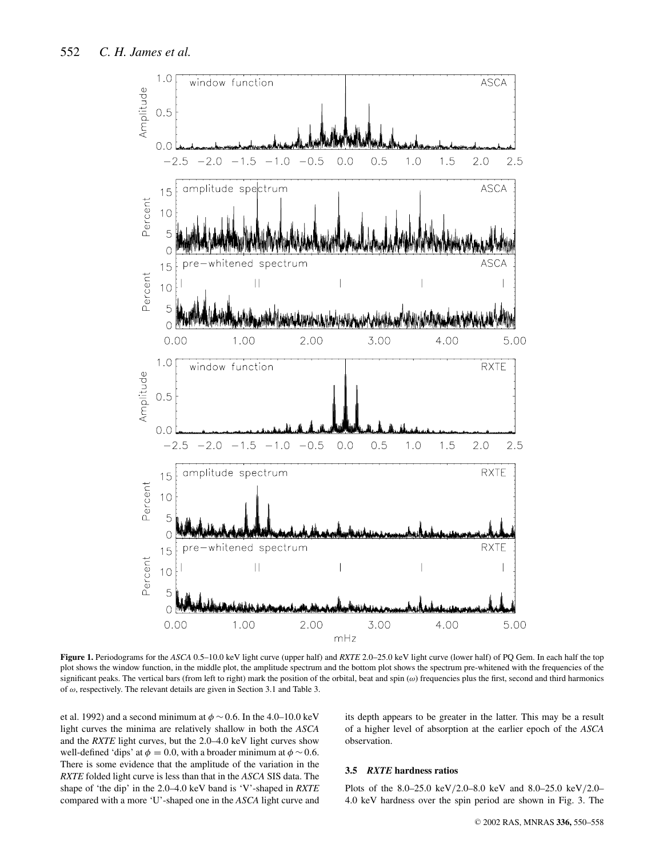

**Figure 1.** Periodograms for the *ASCA* 0.5–10.0 keV light curve (upper half) and *RXTE* 2.0–25.0 keV light curve (lower half) of PQ Gem. In each half the top plot shows the window function, in the middle plot, the amplitude spectrum and the bottom plot shows the spectrum pre-whitened with the frequencies of the significant peaks. The vertical bars (from left to right) mark the position of the orbital, beat and spin  $(\omega)$  frequencies plus the first, second and third harmonics of  $\omega$ , respectively. The relevant details are given in Section 3.1 and Table 3.

et al. 1992) and a second minimum at  $\phi \sim 0.6$ . In the 4.0–10.0 keV light curves the minima are relatively shallow in both the *ASCA* and the *RXTE* light curves, but the 2.0–4.0 keV light curves show well-defined 'dips' at  $\phi = 0.0$ , with a broader minimum at  $\phi \sim 0.6$ . There is some evidence that the amplitude of the variation in the *RXTE* folded light curve is less than that in the *ASCA* SIS data. The shape of 'the dip' in the 2.0–4.0 keV band is 'V'-shaped in *RXTE* compared with a more 'U'-shaped one in the *ASCA* light curve and its depth appears to be greater in the latter. This may be a result of a higher level of absorption at the earlier epoch of the *ASCA* observation.

## **3.5** *RXTE* **hardness ratios**

Plots of the 8.0–25.0 keV/2.0–8.0 keV and 8.0–25.0 keV/2.0– 4.0 keV hardness over the spin period are shown in Fig. 3. The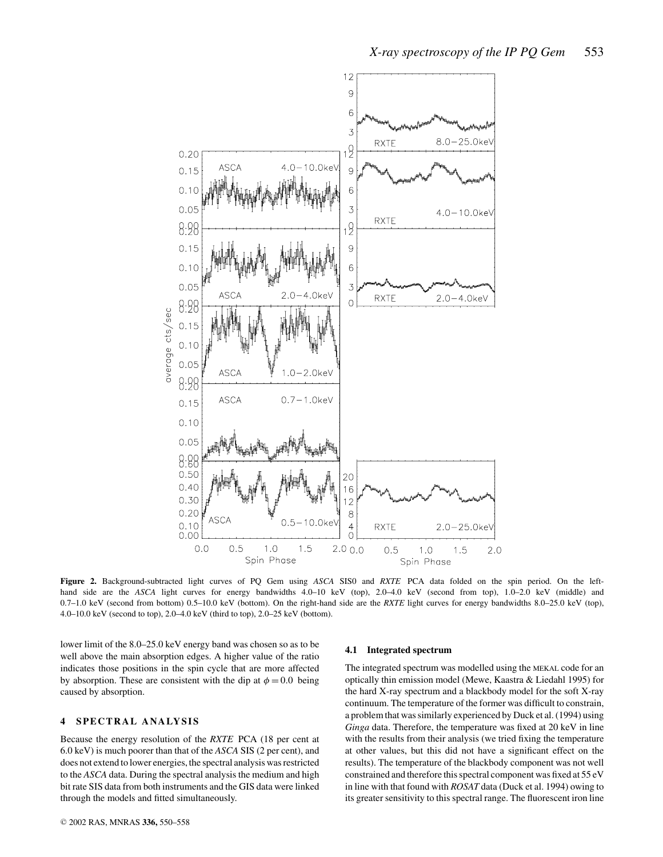

**Figure 2.** Background-subtracted light curves of PQ Gem using *ASCA* SIS0 and *RXTE* PCA data folded on the spin period. On the lefthand side are the *ASCA* light curves for energy bandwidths 4.0–10 keV (top), 2.0–4.0 keV (second from top), 1.0–2.0 keV (middle) and 0.7–1.0 keV (second from bottom) 0.5–10.0 keV (bottom). On the right-hand side are the *RXTE* light curves for energy bandwidths 8.0–25.0 keV (top), 4.0–10.0 keV (second to top), 2.0–4.0 keV (third to top), 2.0–25 keV (bottom).

lower limit of the 8.0–25.0 keV energy band was chosen so as to be well above the main absorption edges. A higher value of the ratio indicates those positions in the spin cycle that are more affected by absorption. These are consistent with the dip at  $\phi = 0.0$  being caused by absorption.

## **4 SPECTRAL ANALYSIS**

Because the energy resolution of the *RXTE* PCA (18 per cent at 6.0 keV) is much poorer than that of the *ASCA* SIS (2 per cent), and does not extend to lower energies, the spectral analysis was restricted to the *ASCA* data. During the spectral analysis the medium and high bit rate SIS data from both instruments and the GIS data were linked through the models and fitted simultaneously.

#### **4.1 Integrated spectrum**

The integrated spectrum was modelled using the MEKAL code for an optically thin emission model (Mewe, Kaastra & Liedahl 1995) for the hard X-ray spectrum and a blackbody model for the soft X-ray continuum. The temperature of the former was difficult to constrain, a problem that was similarly experienced by Duck et al. (1994) using *Ginga* data. Therefore, the temperature was fixed at 20 keV in line with the results from their analysis (we tried fixing the temperature at other values, but this did not have a significant effect on the results). The temperature of the blackbody component was not well constrained and therefore this spectral component was fixed at 55 eV in line with that found with *ROSAT* data (Duck et al. 1994) owing to its greater sensitivity to this spectral range. The fluorescent iron line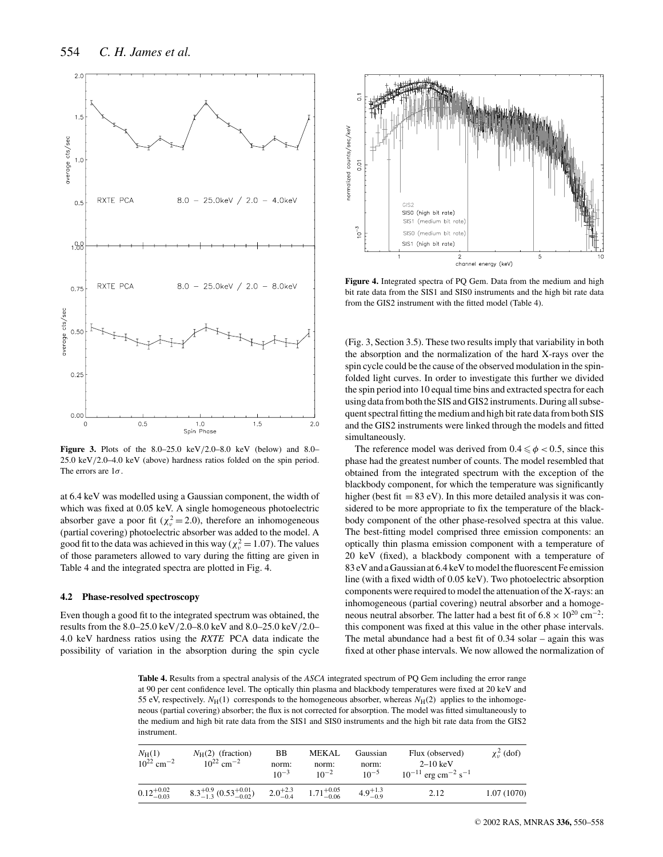

**Figure 3.** Plots of the 8.0–25.0 keV/2.0–8.0 keV (below) and 8.0– 25.0 keV/2.0–4.0 keV (above) hardness ratios folded on the spin period. The errors are  $1\sigma$ .

at 6.4 keV was modelled using a Gaussian component, the width of which was fixed at 0.05 keV. A single homogeneous photoelectric absorber gave a poor fit ( $\chi^2 = 2.0$ ), therefore an inhomogeneous (partial covering) photoelectric absorber was added to the model. A good fit to the data was achieved in this way ( $\chi^2 = 1.07$ ). The values of those parameters allowed to vary during the fitting are given in Table 4 and the integrated spectra are plotted in Fig. 4.

#### **4.2 Phase-resolved spectroscopy**

Even though a good fit to the integrated spectrum was obtained, the results from the 8.0–25.0 keV/2.0–8.0 keV and 8.0–25.0 keV/2.0– 4.0 keV hardness ratios using the *RXTE* PCA data indicate the possibility of variation in the absorption during the spin cycle



**Figure 4.** Integrated spectra of PQ Gem. Data from the medium and high bit rate data from the SIS1 and SIS0 instruments and the high bit rate data from the GIS2 instrument with the fitted model (Table 4).

(Fig. 3, Section 3.5). These two results imply that variability in both the absorption and the normalization of the hard X-rays over the spin cycle could be the cause of the observed modulation in the spinfolded light curves. In order to investigate this further we divided the spin period into 10 equal time bins and extracted spectra for each using data from both the SIS and GIS2 instruments. During all subsequent spectral fitting the medium and high bit rate data from both SIS and the GIS2 instruments were linked through the models and fitted simultaneously.

The reference model was derived from  $0.4 \le \phi < 0.5$ , since this phase had the greatest number of counts. The model resembled that obtained from the integrated spectrum with the exception of the blackbody component, for which the temperature was significantly higher (best fit  $= 83$  eV). In this more detailed analysis it was considered to be more appropriate to fix the temperature of the blackbody component of the other phase-resolved spectra at this value. The best-fitting model comprised three emission components: an optically thin plasma emission component with a temperature of 20 keV (fixed), a blackbody component with a temperature of 83 eV and a Gaussian at 6.4 keV to model the fluorescent Fe emission line (with a fixed width of 0.05 keV). Two photoelectric absorption components were required to model the attenuation of the X-rays: an inhomogeneous (partial covering) neutral absorber and a homogeneous neutral absorber. The latter had a best fit of  $6.8 \times 10^{20}$  cm<sup>-2</sup>: this component was fixed at this value in the other phase intervals. The metal abundance had a best fit of 0.34 solar – again this was fixed at other phase intervals. We now allowed the normalization of

**Table 4.** Results from a spectral analysis of the *ASCA* integrated spectrum of PQ Gem including the error range at 90 per cent confidence level. The optically thin plasma and blackbody temperatures were fixed at 20 keV and 55 eV, respectively.  $N_H(1)$  corresponds to the homogeneous absorber, whereas  $N_H(2)$  applies to the inhomogeneous (partial covering) absorber; the flux is not corrected for absorption. The model was fitted simultaneously to the medium and high bit rate data from the SIS1 and SIS0 instruments and the high bit rate data from the GIS2 instrument.

| $N_{\rm H}(1)$<br>$10^{22}$ cm <sup>-2</sup> | $N_H(2)$ (fraction)<br>$10^{22}$ cm <sup>-2</sup> | BB<br>norm:<br>$10^{-3}$ | MEKAL<br>norm:<br>$10^{-2}$                | Gaussian<br>norm:<br>$10^{-5}$ | Flux (observed)<br>$2-10~\mathrm{keV}$<br>$10^{-11}$ erg cm <sup>-2</sup> s <sup>-1</sup> | $\chi^2_{\nu}$ (dof) |
|----------------------------------------------|---------------------------------------------------|--------------------------|--------------------------------------------|--------------------------------|-------------------------------------------------------------------------------------------|----------------------|
| $0.12^{+0.02}_{-0.03}$                       | $8.3^{+0.9}_{-1.3}$ $(0.53^{+0.01}_{-0.02})$      |                          | $2.0^{+2.3}_{-0.4}$ $1.71^{+0.05}_{-0.06}$ | $4.9^{+1.3}_{-0.9}$            | 2.12                                                                                      | 1.07(1070)           |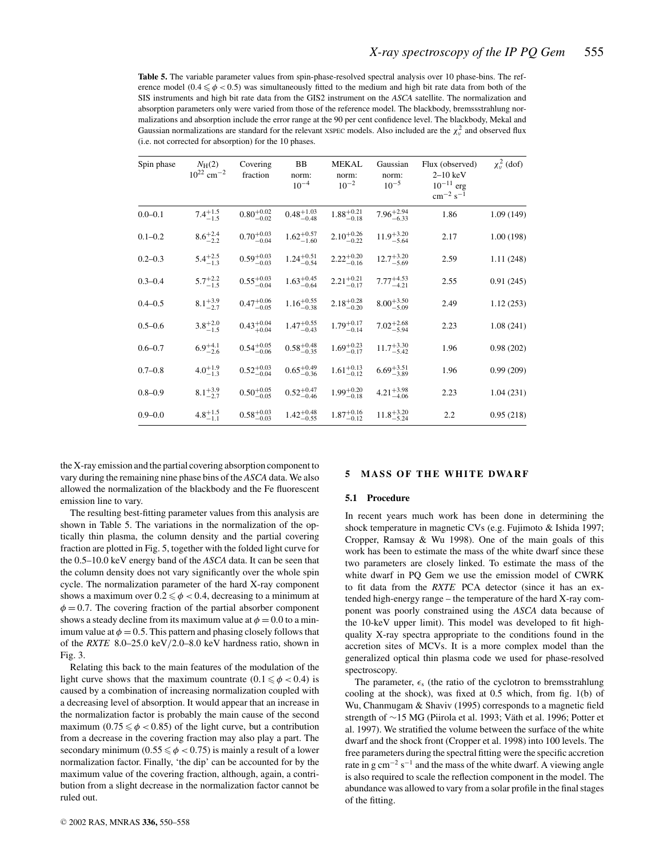**Table 5.** The variable parameter values from spin-phase-resolved spectral analysis over 10 phase-bins. The reference model (0.4  $\leq \phi$  < 0.5) was simultaneously fitted to the medium and high bit rate data from both of the SIS instruments and high bit rate data from the GIS2 instrument on the *ASCA* satellite. The normalization and absorption parameters only were varied from those of the reference model. The blackbody, bremssstrahlung normalizations and absorption include the error range at the 90 per cent confidence level. The blackbody, Mekal and Gaussian normalizations are standard for the relevant XSPEC models. Also included are the  $\chi^2_\nu$  and observed flux (i.e. not corrected for absorption) for the 10 phases.

| Spin phase  | $N_{\rm H}(2)$<br>$10^{22}$ cm <sup>-2</sup> | Covering<br>fraction   | BB<br>norm:<br>$10^{-4}$ | <b>MEKAL</b><br>norm:<br>$10^{-2}$ | Gaussian<br>norm:<br>$10^{-5}$ | Flux (observed)<br>$2-10$ keV<br>$10^{-11}$ erg<br>$cm^{-2} s^{-1}$ | $\chi_v^2$ (dof) |
|-------------|----------------------------------------------|------------------------|--------------------------|------------------------------------|--------------------------------|---------------------------------------------------------------------|------------------|
| $0.0 - 0.1$ | $7.4^{+1.5}_{-1.5}$                          | $0.80^{+0.02}_{-0.02}$ | $0.48^{+1.03}_{-0.48}$   | $1.88^{+0.21}_{-0.18}$             | $7.96^{+2.94}_{-6.33}$         | 1.86                                                                | 1.09(149)        |
| $0.1 - 0.2$ | $8.6^{+2.4}_{-2.2}$                          | $0.70^{+0.03}_{-0.04}$ | $1.62^{+0.57}_{-1.60}$   | $2.10^{+0.26}_{-0.22}$             | $11.9^{+3.20}_{-5.64}$         | 2.17                                                                | 1.00(198)        |
| $0.2 - 0.3$ | $5.4^{+2.5}_{-1.3}$                          | $0.59^{+0.03}_{-0.03}$ | $1.24_{-0.54}^{+0.51}$   | $2.22^{+0.20}_{-0.16}$             | $12.7^{+3.20}_{-5.69}$         | 2.59                                                                | 1.11(248)        |
| $0.3 - 0.4$ | $5.7^{+2.2}_{-1.5}$                          | $0.55^{+0.03}_{-0.04}$ | $1.63^{+0.45}_{-0.64}$   | $2.21_{-0.17}^{+0.21}$             | $7.77^{+4.53}_{-4.21}$         | 2.55                                                                | 0.91(245)        |
| $0.4 - 0.5$ | $8.1^{+3.9}_{-2.7}$                          | $0.47^{+0.06}_{-0.05}$ | $1.16_{-0.38}^{+0.55}$   | $2.18^{+0.28}_{-0.20}$             | $8.00^{+3.50}_{-5.09}$         | 2.49                                                                | 1.12(253)        |
| $0.5 - 0.6$ | $3.8^{+2.0}_{-1.5}$                          | $0.43^{+0.04}_{+0.04}$ | $1.47^{+0.55}_{-0.43}$   | $1.79^{+0.17}_{-0.14}$             | $7.02^{+2.68}_{-5.94}$         | 2.23                                                                | 1.08(241)        |
| $0.6 - 0.7$ | $6.9^{+4.1}_{-2.6}$                          | $0.54^{+0.05}_{-0.06}$ | $0.58^{+0.48}_{-0.35}$   | $1.69_{-0.17}^{+0.23}$             | $11.7^{+3.30}_{-5.42}$         | 1.96                                                                | 0.98(202)        |
| $0.7 - 0.8$ | $4.0^{+1.9}_{-1.3}$                          | $0.52^{+0.03}_{-0.04}$ | $0.65^{+0.49}_{-0.36}$   | $1.61_{-0.12}^{+0.13}$             | $6.69^{+3.51}_{-3.89}$         | 1.96                                                                | 0.99(209)        |
| $0.8 - 0.9$ | $8.1^{+3.9}_{-2.7}$                          | $0.50^{+0.05}_{-0.05}$ | $0.52^{+0.47}_{-0.46}$   | $1.99_{-0.18}^{+0.20}$             | $4.21_{-4.06}^{+3.98}$         | 2.23                                                                | 1.04(231)        |
| $0.9 - 0.0$ | $4.8^{+1.5}_{-1.1}$                          | $0.58^{+0.03}_{-0.03}$ | $1.42^{+0.48}_{-0.55}$   | $1.87^{+0.16}_{-0.12}$             | $11.8^{+3.20}_{-5.24}$         | 2.2                                                                 | 0.95(218)        |

the X-ray emission and the partial covering absorption component to vary during the remaining nine phase bins of the *ASCA* data. We also allowed the normalization of the blackbody and the Fe fluorescent emission line to vary.

The resulting best-fitting parameter values from this analysis are shown in Table 5. The variations in the normalization of the optically thin plasma, the column density and the partial covering fraction are plotted in Fig. 5, together with the folded light curve for the 0.5–10.0 keV energy band of the *ASCA* data. It can be seen that the column density does not vary significantly over the whole spin cycle. The normalization parameter of the hard X-ray component shows a maximum over  $0.2 \leqslant \phi < 0.4,$  decreasing to a minimum at  $\phi = 0.7$ . The covering fraction of the partial absorber component shows a steady decline from its maximum value at  $\phi = 0.0$  to a minimum value at  $\phi = 0.5$ . This pattern and phasing closely follows that of the *RXTE* 8.0–25.0 keV/2.0–8.0 keV hardness ratio, shown in Fig. 3.

Relating this back to the main features of the modulation of the light curve shows that the maximum countrate  $(0.1 \le \phi < 0.4)$  is caused by a combination of increasing normalization coupled with a decreasing level of absorption. It would appear that an increase in the normalization factor is probably the main cause of the second maximum (0.75  $\leq \phi$  < 0.85) of the light curve, but a contribution from a decrease in the covering fraction may also play a part. The secondary minimum ( $0.55 \le \phi < 0.75$ ) is mainly a result of a lower normalization factor. Finally, 'the dip' can be accounted for by the maximum value of the covering fraction, although, again, a contribution from a slight decrease in the normalization factor cannot be ruled out.

## **5 MASS OF THE WHITE DWARF**

## **5.1 Procedure**

In recent years much work has been done in determining the shock temperature in magnetic CVs (e.g. Fujimoto & Ishida 1997; Cropper, Ramsay & Wu 1998). One of the main goals of this work has been to estimate the mass of the white dwarf since these two parameters are closely linked. To estimate the mass of the white dwarf in PQ Gem we use the emission model of CWRK to fit data from the *RXTE* PCA detector (since it has an extended high-energy range – the temperature of the hard X-ray component was poorly constrained using the *ASCA* data because of the 10-keV upper limit). This model was developed to fit highquality X-ray spectra appropriate to the conditions found in the accretion sites of MCVs. It is a more complex model than the generalized optical thin plasma code we used for phase-resolved spectroscopy.

The parameter,  $\epsilon_s$  (the ratio of the cyclotron to bremsstrahlung cooling at the shock), was fixed at 0.5 which, from fig. 1(b) of Wu, Chanmugam & Shaviv (1995) corresponds to a magnetic field strength of ∼15 MG (Piirola et al. 1993; Väth et al. 1996; Potter et al. 1997). We stratified the volume between the surface of the white dwarf and the shock front (Cropper et al. 1998) into 100 levels. The free parameters during the spectral fitting were the specific accretion rate in g cm−<sup>2</sup> s−<sup>1</sup> and the mass of the white dwarf. A viewing angle is also required to scale the reflection component in the model. The abundance was allowed to vary from a solar profile in the final stages of the fitting.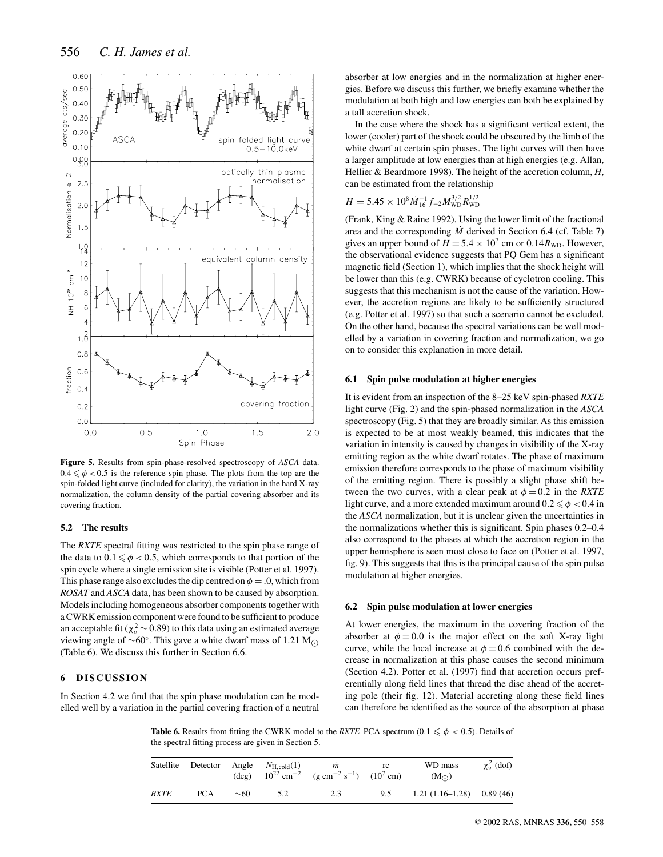

**Figure 5.** Results from spin-phase-resolved spectroscopy of *ASCA* data.  $0.4 \le \phi < 0.5$  is the reference spin phase. The plots from the top are the spin-folded light curve (included for clarity), the variation in the hard X-ray normalization, the column density of the partial covering absorber and its covering fraction.

#### **5.2 The results**

The *RXTE* spectral fitting was restricted to the spin phase range of the data to  $0.1 \le \phi < 0.5$ , which corresponds to that portion of the spin cycle where a single emission site is visible (Potter et al. 1997). This phase range also excludes the dip centred on  $\phi = 0$ , which from *ROSAT* and *ASCA* data, has been shown to be caused by absorption. Models including homogeneous absorber components together with a CWRK emission component were found to be sufficient to produce an acceptable fit ( $\chi^2_{\nu}$  ~ 0.89) to this data using an estimated average viewing angle of  $\sim 60^\circ$ . This gave a white dwarf mass of 1.21 M<sub>∩</sub> (Table 6). We discuss this further in Section 6.6.

## **6 DISCUSSION**

In Section 4.2 we find that the spin phase modulation can be modelled well by a variation in the partial covering fraction of a neutral absorber at low energies and in the normalization at higher energies. Before we discuss this further, we briefly examine whether the modulation at both high and low energies can both be explained by a tall accretion shock.

In the case where the shock has a significant vertical extent, the lower (cooler) part of the shock could be obscured by the limb of the white dwarf at certain spin phases. The light curves will then have a larger amplitude at low energies than at high energies (e.g. Allan, Hellier & Beardmore 1998). The height of the accretion column, *H*, can be estimated from the relationship

$$
H = 5.45 \times 10^8 \dot{M}_{16}^{-1} f_{-2} M_{\rm WD}^{3/2} R_{\rm WD}^{1/2}
$$

(Frank, King & Raine 1992). Using the lower limit of the fractional area and the corresponding  $\dot{M}$  derived in Section 6.4 (cf. Table 7) gives an upper bound of  $H = 5.4 \times 10^7$  cm or 0.14 $R_{WD}$ . However, the observational evidence suggests that PQ Gem has a significant magnetic field (Section 1), which implies that the shock height will be lower than this (e.g. CWRK) because of cyclotron cooling. This suggests that this mechanism is not the cause of the variation. However, the accretion regions are likely to be sufficiently structured (e.g. Potter et al. 1997) so that such a scenario cannot be excluded. On the other hand, because the spectral variations can be well modelled by a variation in covering fraction and normalization, we go on to consider this explanation in more detail.

#### **6.1 Spin pulse modulation at higher energies**

It is evident from an inspection of the 8–25 keV spin-phased *RXTE* light curve (Fig. 2) and the spin-phased normalization in the *ASCA* spectroscopy (Fig. 5) that they are broadly similar. As this emission is expected to be at most weakly beamed, this indicates that the variation in intensity is caused by changes in visibility of the X-ray emitting region as the white dwarf rotates. The phase of maximum emission therefore corresponds to the phase of maximum visibility of the emitting region. There is possibly a slight phase shift between the two curves, with a clear peak at  $\phi = 0.2$  in the *RXTE* light curve, and a more extended maximum around  $0.2 \leqslant \phi < 0.4$  in the *ASCA* normalization, but it is unclear given the uncertainties in the normalizations whether this is significant. Spin phases 0.2–0.4 also correspond to the phases at which the accretion region in the upper hemisphere is seen most close to face on (Potter et al. 1997, fig. 9). This suggests that this is the principal cause of the spin pulse modulation at higher energies.

#### **6.2 Spin pulse modulation at lower energies**

At lower energies, the maximum in the covering fraction of the absorber at  $\phi = 0.0$  is the major effect on the soft X-ray light curve, while the local increase at  $\phi = 0.6$  combined with the decrease in normalization at this phase causes the second minimum (Section 4.2). Potter et al. (1997) find that accretion occurs preferentially along field lines that thread the disc ahead of the accreting pole (their fig. 12). Material accreting along these field lines can therefore be identified as the source of the absorption at phase

**Table 6.** Results from fitting the CWRK model to the *RXTE* PCA spectrum (0.1  $\leq \phi$  < 0.5). Details of the spectral fitting process are given in Section 5.

| Satellite   | Detector | (deg)     | Angle $N_{\text{H.cold}}(1)$ | m<br>$10^{22}$ cm <sup>-2</sup> (g cm <sup>-2</sup> s <sup>-1</sup> ) (10 <sup>7</sup> cm) | rc  | WD mass<br>$(M_{\odot})$   | $\chi_v^2$ (dof) |
|-------------|----------|-----------|------------------------------|--------------------------------------------------------------------------------------------|-----|----------------------------|------------------|
| <b>RXTE</b> | PCA      | $\sim 60$ | 5.2                          | 2.3                                                                                        | 9.5 | $1.21(1.16-1.28)$ 0.89(46) |                  |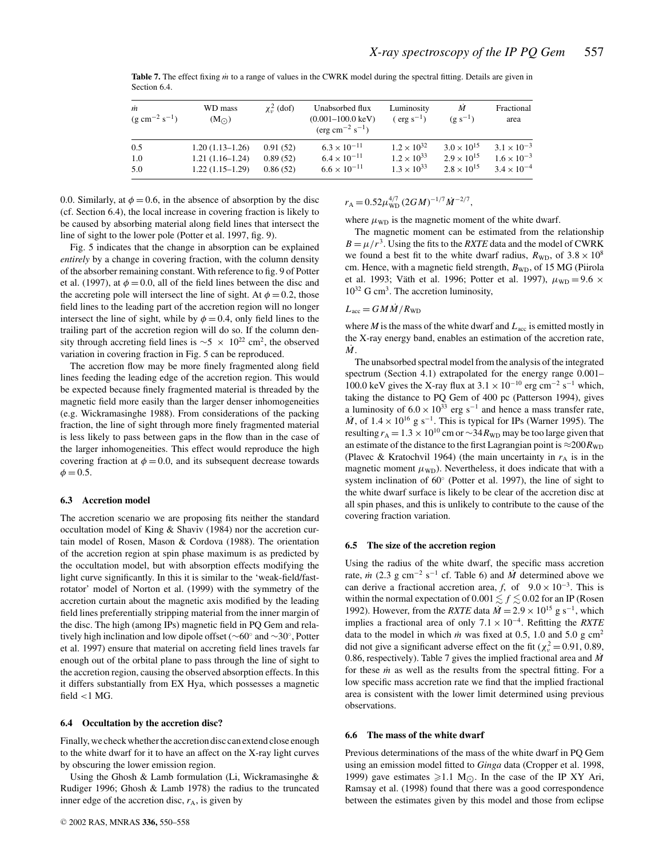| m<br>$(g \text{ cm}^{-2} \text{ s}^{-1})$ | WD mass<br>(M <sub>o</sub> ) | $\chi^2$ (dof) | Unabsorbed flux<br>$(0.001 - 100.0 \text{ keV})$<br>$(\text{erg cm}^{-2} \text{ s}^{-1})$ | Luminosity<br>$(\text{erg s}^{-1})$ | M<br>$(g s^{-1})$    | Fractional<br>area   |
|-------------------------------------------|------------------------------|----------------|-------------------------------------------------------------------------------------------|-------------------------------------|----------------------|----------------------|
| 0.5                                       | $1.20(1.13-1.26)$            | 0.91(52)       | $6.3 \times 10^{-11}$                                                                     | $1.2 \times 10^{32}$                | $3.0 \times 10^{15}$ | $3.1 \times 10^{-3}$ |
| 1.0                                       | $1.21(1.16-1.24)$            | 0.89(52)       | $6.4 \times 10^{-11}$                                                                     | $1.2 \times 10^{33}$                | $2.9 \times 10^{15}$ | $1.6 \times 10^{-3}$ |
| 5.0                                       | $1.22(1.15-1.29)$            | 0.86(52)       | $6.6 \times 10^{-11}$                                                                     | $1.3 \times 10^{33}$                | $2.8 \times 10^{15}$ | $3.4 \times 10^{-4}$ |

**Table 7.** The effect fixing *m*˙ to a range of values in the CWRK model during the spectral fitting. Details are given in Section 6.4.

0.0. Similarly, at  $\phi = 0.6$ , in the absence of absorption by the disc (cf. Section 6.4), the local increase in covering fraction is likely to be caused by absorbing material along field lines that intersect the line of sight to the lower pole (Potter et al. 1997, fig. 9).

Fig. 5 indicates that the change in absorption can be explained *entirely* by a change in covering fraction, with the column density of the absorber remaining constant. With reference to fig. 9 of Potter et al. (1997), at  $\phi = 0.0$ , all of the field lines between the disc and the accreting pole will intersect the line of sight. At  $\phi = 0.2$ , those field lines to the leading part of the accretion region will no longer intersect the line of sight, while by  $\phi = 0.4$ , only field lines to the trailing part of the accretion region will do so. If the column density through accreting field lines is  $\sim$ 5 × 10<sup>22</sup> cm<sup>2</sup>, the observed variation in covering fraction in Fig. 5 can be reproduced.

The accretion flow may be more finely fragmented along field lines feeding the leading edge of the accretion region. This would be expected because finely fragmented material is threaded by the magnetic field more easily than the larger denser inhomogeneities (e.g. Wickramasinghe 1988). From considerations of the packing fraction, the line of sight through more finely fragmented material is less likely to pass between gaps in the flow than in the case of the larger inhomogeneities. This effect would reproduce the high covering fraction at  $\phi = 0.0$ , and its subsequent decrease towards  $\phi = 0.5$ .

#### **6.3 Accretion model**

The accretion scenario we are proposing fits neither the standard occultation model of King & Shaviv (1984) nor the accretion curtain model of Rosen, Mason & Cordova (1988). The orientation of the accretion region at spin phase maximum is as predicted by the occultation model, but with absorption effects modifying the light curve significantly. In this it is similar to the 'weak-field/fastrotator' model of Norton et al. (1999) with the symmetry of the accretion curtain about the magnetic axis modified by the leading field lines preferentially stripping material from the inner margin of the disc. The high (among IPs) magnetic field in PQ Gem and relatively high inclination and low dipole offset (∼60◦ and ∼30◦, Potter et al. 1997) ensure that material on accreting field lines travels far enough out of the orbital plane to pass through the line of sight to the accretion region, causing the observed absorption effects. In this it differs substantially from EX Hya, which possesses a magnetic field  $<$ 1 MG.

#### **6.4 Occultation by the accretion disc?**

Finally, we check whether the accretion disc can extend close enough to the white dwarf for it to have an affect on the X-ray light curves by obscuring the lower emission region.

Using the Ghosh & Lamb formulation (Li, Wickramasinghe & Rudiger 1996; Ghosh & Lamb 1978) the radius to the truncated inner edge of the accretion disc,  $r_A$ , is given by

 $r_{\rm A} = 0.52 \mu_{\rm WD}^{4/7} (2GM)^{-1/7} \dot{M}^{-2/7},$ 

where  $\mu_{WD}$  is the magnetic moment of the white dwarf.

The magnetic moment can be estimated from the relationship  $B = \mu/r^3$ . Using the fits to the *RXTE* data and the model of CWRK we found a best fit to the white dwarf radius,  $R_{\text{WD}}$ , of  $3.8 \times 10^8$ cm. Hence, with a magnetic field strength,  $B_{WD}$ , of 15 MG (Piirola et al. 1993; Väth et al. 1996; Potter et al. 1997),  $\mu_{WD} = 9.6 \times$  $10^{32}$  G cm<sup>3</sup>. The accretion luminosity,

## $L_{\text{acc}} = G M \dot{M} / R_{\text{WD}}$

where  $M$  is the mass of the white dwarf and  $L_{\text{acc}}$  is emitted mostly in the X-ray energy band, enables an estimation of the accretion rate,  $\dot{M}$ .

The unabsorbed spectral model from the analysis of the integrated spectrum (Section 4.1) extrapolated for the energy range 0.001– 100.0 keV gives the X-ray flux at  $3.1 \times 10^{-10}$  erg cm<sup>-2</sup> s<sup>-1</sup> which, taking the distance to PQ Gem of 400 pc (Patterson 1994), gives a luminosity of  $6.0 \times 10^{33}$  erg s<sup>-1</sup> and hence a mass transfer rate,  $\dot{M}$ , of  $1.4 \times 10^{16}$  g s<sup>-1</sup>. This is typical for IPs (Warner 1995). The resulting  $r_A = 1.3 \times 10^{10}$  cm or  $\sim 34 R_{WD}$  may be too large given that an estimate of the distance to the first Lagrangian point is  $\approx 200R_{WD}$ (Plavec & Kratochvil 1964) (the main uncertainty in  $r_A$  is in the magnetic moment  $\mu_{WD}$ ). Nevertheless, it does indicate that with a system inclination of 60◦ (Potter et al. 1997), the line of sight to the white dwarf surface is likely to be clear of the accretion disc at all spin phases, and this is unlikely to contribute to the cause of the covering fraction variation.

#### **6.5 The size of the accretion region**

Using the radius of the white dwarf, the specific mass accretion rate,  $\dot{m}$  (2.3 g cm<sup>-2</sup> s<sup>-1</sup> cf. Table 6) and  $\dot{M}$  determined above we can derive a fractional accretion area, *f*, of  $9.0 \times 10^{-3}$ . This is within the normal expectation of  $0.001 \lesssim f \lesssim 0.02$  for an IP (Rosen 1992). However, from the *RXTE* data  $\dot{M} = 2.9 \times 10^{15}$  g s<sup>-1</sup>, which implies a fractional area of only 7.1 × 10−4. Refitting the *RXTE* data to the model in which *m* was fixed at 0.5, 1.0 and 5.0 g cm<sup>2</sup> did not give a significant adverse effect on the fit ( $\chi^2 = 0.91, 0.89$ , 0.86, respectively). Table 7 gives the implied fractional area and  $\dot{M}$ for these *m* as well as the results from the spectral fitting. For a low specific mass accretion rate we find that the implied fractional area is consistent with the lower limit determined using previous observations.

#### **6.6 The mass of the white dwarf**

Previous determinations of the mass of the white dwarf in PQ Gem using an emission model fitted to *Ginga* data (Cropper et al. 1998, 1999) gave estimates  $\geq 1.1$  M<sub>O</sub>. In the case of the IP XY Ari, Ramsay et al. (1998) found that there was a good correspondence between the estimates given by this model and those from eclipse